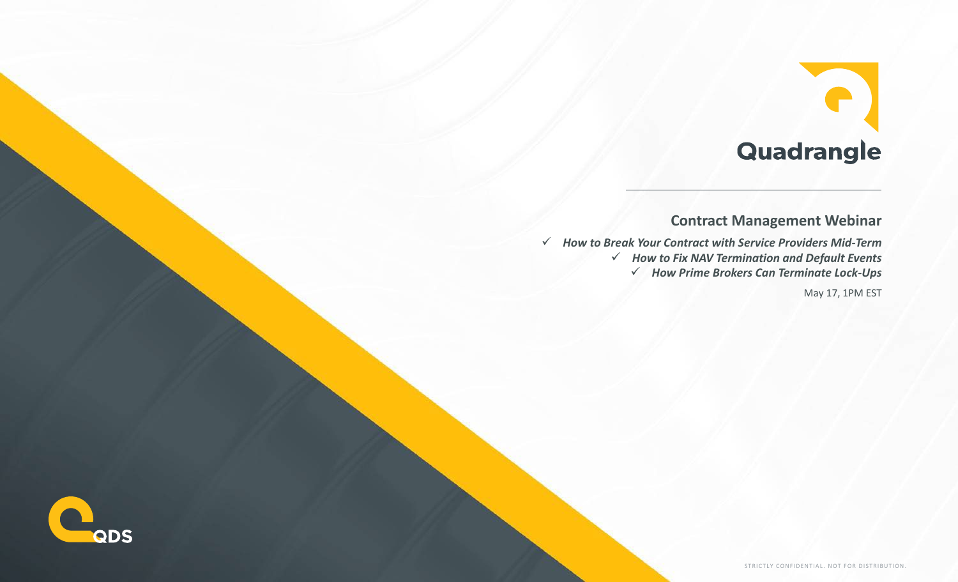## Quadrangle

### **Contract Management Webinar**

 *How to Break Your Contract with Service Providers Mid-Term How to Fix NAV Termination and Default Events How Prime Brokers Can Terminate Lock-Ups* May 17, 1PM EST

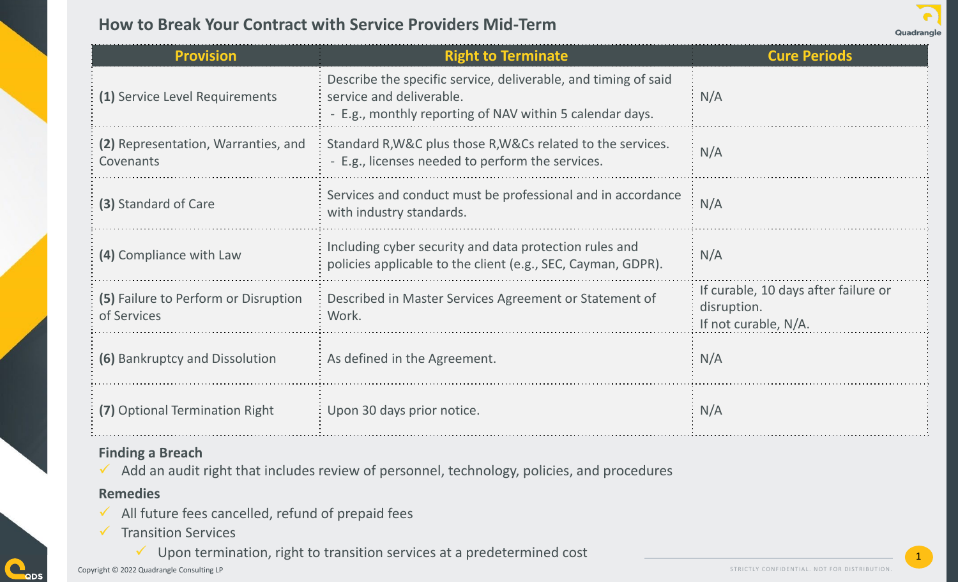### **How to Break Your Contract with Service Providers Mid-Term**

| Quadrangle |
|------------|
|            |

| <b>Provision</b>                                    | <b>Right to Terminate</b>                                                                                                                              | <b>Cure Periods</b>                                                         |
|-----------------------------------------------------|--------------------------------------------------------------------------------------------------------------------------------------------------------|-----------------------------------------------------------------------------|
| (1) Service Level Requirements                      | Describe the specific service, deliverable, and timing of said<br>service and deliverable.<br>- E.g., monthly reporting of NAV within 5 calendar days. | N/A                                                                         |
| (2) Representation, Warranties, and<br>Covenants    | Standard R, W&C plus those R, W&Cs related to the services.<br>- E.g., licenses needed to perform the services.                                        | N/A                                                                         |
| (3) Standard of Care                                | Services and conduct must be professional and in accordance<br>with industry standards.                                                                | N/A                                                                         |
| (4) Compliance with Law                             | Including cyber security and data protection rules and<br>policies applicable to the client (e.g., SEC, Cayman, GDPR).                                 | N/A                                                                         |
| (5) Failure to Perform or Disruption<br>of Services | Described in Master Services Agreement or Statement of<br>Work.                                                                                        | If curable, 10 days after failure or<br>disruption.<br>If not curable, N/A. |
| (6) Bankruptcy and Dissolution                      | As defined in the Agreement.                                                                                                                           | N/A                                                                         |
| (7) Optional Termination Right                      | Upon 30 days prior notice.                                                                                                                             | N/A                                                                         |

#### **Finding a Breach**

 $\checkmark$  Add an audit right that includes review of personnel, technology, policies, and procedures

#### **Remedies**

 $\blacksquare$ QDS

- $\checkmark$  All future fees cancelled, refund of prepaid fees
- $\checkmark$  Transition Services
	- $\checkmark$  Upon termination, right to transition services at a predetermined cost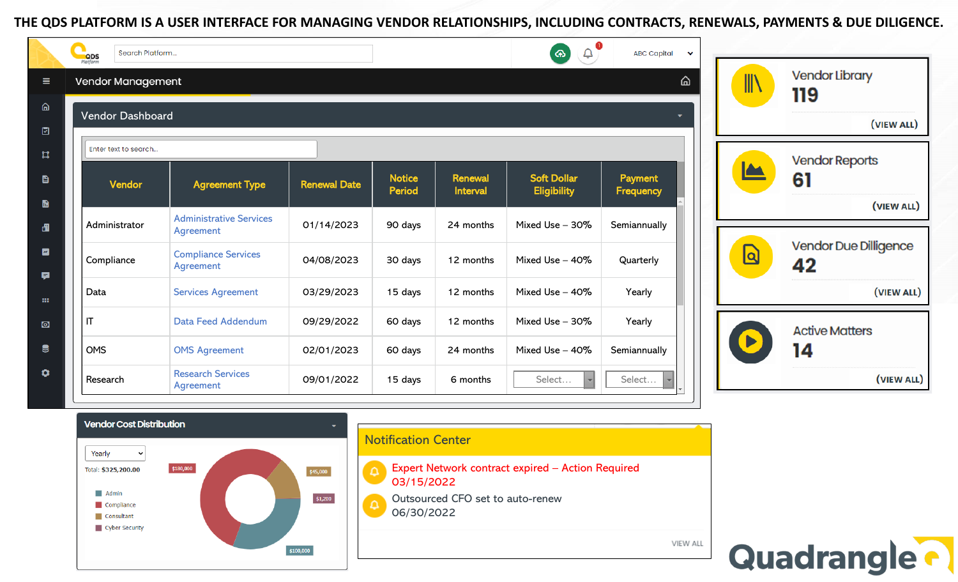#### **THE QDS PLATFORM IS A USER INTERFACE FOR MANAGING VENDOR RELATIONSHIPS, INCLUDING CONTRACTS, RENEWALS, PAYMENTS & DUE DILIGENCE.**

|                               | Search Platform<br><b>QDS</b><br>Platform |                                             |                     |                                |                            | $\hat{\mathbf{U}}$<br>ക                  | <b>ABC Capital</b><br>$\checkmark$ |                         |                                    |
|-------------------------------|-------------------------------------------|---------------------------------------------|---------------------|--------------------------------|----------------------------|------------------------------------------|------------------------------------|-------------------------|------------------------------------|
| $\equiv$                      | <b>ል</b><br><b>Vendor Management</b>      |                                             |                     |                                |                            |                                          |                                    | W)                      | <b>Vendor Library</b><br>119       |
| ⋒<br>⊡                        | <b>Vendor Dashboard</b><br>۰.             |                                             |                     |                                |                            |                                          |                                    |                         | (VIEW ALL)                         |
| $\mathfrak{a}$                | Enter text to search                      |                                             |                     |                                |                            |                                          |                                    | <b>Vendor Reports</b>   |                                    |
| 目<br>$\blacksquare$           | Vendor                                    | <b>Agreement Type</b>                       | <b>Renewal Date</b> | <b>Notice</b><br><b>Period</b> | <b>Renewal</b><br>Interval | <b>Soft Dollar</b><br><b>Eligibility</b> | Payment<br>Frequency               |                         | 61<br>(VIEW ALL)                   |
| 遇                             | Administrator                             | <b>Administrative Services</b><br>Agreement | 01/14/2023          | 90 days                        | 24 months                  | Mixed Use - 30%                          | Semiannually                       |                         |                                    |
| $\overline{\phantom{a}}$<br>Ŗ | Compliance                                | <b>Compliance Services</b><br>Agreement     | 04/08/2023          | 30 days                        | 12 months                  | Mixed Use - 40%                          | Quarterly                          | $\overline{\mathsf{a}}$ | <b>Vendor Due Dilligence</b><br>42 |
| $\mathbf{m}$                  | Data                                      | <b>Services Agreement</b>                   | 03/29/2023          | 15 days                        | 12 months                  | Mixed Use $-40\%$                        | Yearly                             |                         | (VIEW ALL)                         |
| $\bullet$                     | $\mathsf{I}$                              | Data Feed Addendum                          | 09/29/2022          | 60 days                        | 12 months                  | Mixed Use - 30%                          | Yearly                             |                         | <b>Active Matters</b>              |
| $\bullet$                     | <b>OMS</b>                                | <b>OMS Agreement</b>                        | 02/01/2023          | 60 days                        | 24 months                  | Mixed Use - 40%                          | Semiannually                       |                         | 14                                 |
| ۰                             | Research                                  | <b>Research Services</b><br>Agreement       | 09/01/2022          | 15 days                        | 6 months                   | Select                                   | Select                             |                         | (VIEW ALL)                         |





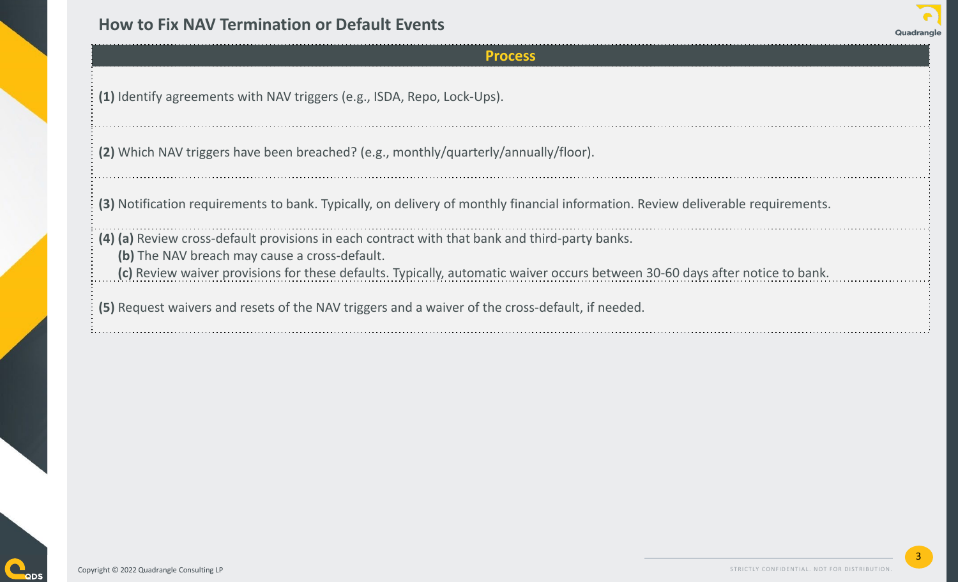### **How to Fix NAV Termination or Default Events**

#### **Process**

**(1)** Identify agreements with NAV triggers (e.g., ISDA, Repo, Lock-Ups).

**(2)** Which NAV triggers have been breached? (e.g., monthly/quarterly/annually/floor).

**(3)** Notification requirements to bank. Typically, on delivery of monthly financial information. Review deliverable requirements.

**(4) (a)** Review cross-default provisions in each contract with that bank and third-party banks.

**(b)** The NAV breach may cause a cross-default.

**(c)** Review waiver provisions for these defaults. Typically, automatic waiver occurs between 30-60 days after notice to bank.

**(5)** Request waivers and resets of the NAV triggers and a waiver of the cross-default, if needed.



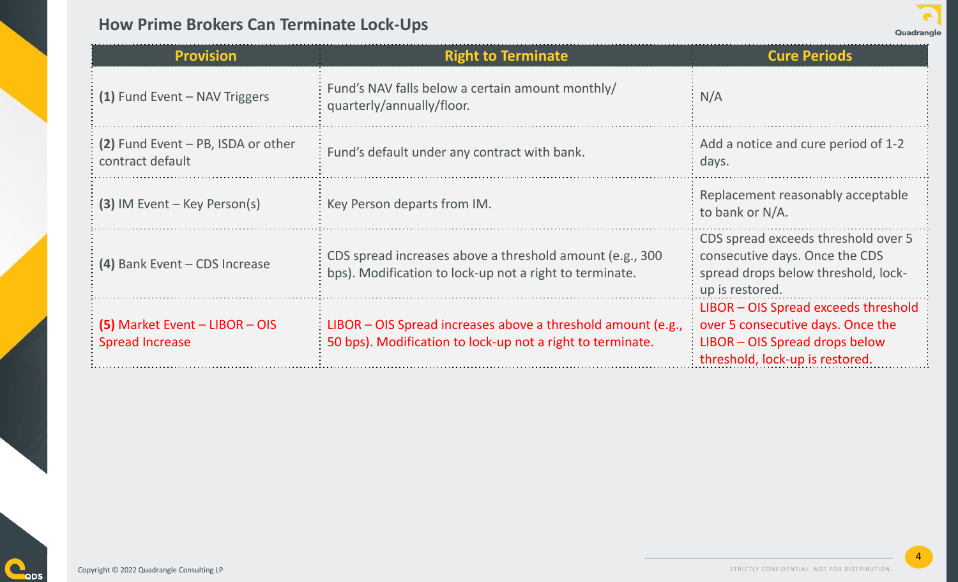### **How Prime Brokers Can Terminate Lock-Ups**



4

| <b>Provision</b>                                         | <b>Right to Terminate</b>                                                                                                  | <b>Cure Periods</b>                                                                                                                            |  |  |
|----------------------------------------------------------|----------------------------------------------------------------------------------------------------------------------------|------------------------------------------------------------------------------------------------------------------------------------------------|--|--|
| (1) Fund Event - NAV Triggers                            | Fund's NAV falls below a certain amount monthly/<br>quarterly/annually/floor.                                              | N/A                                                                                                                                            |  |  |
| (2) Fund Event – PB, ISDA or other<br>contract default   | Fund's default under any contract with bank.                                                                               | Add a notice and cure period of 1-2<br>days.                                                                                                   |  |  |
| $(3)$ IM Event – Key Person(s)                           | Key Person departs from IM.                                                                                                | Replacement reasonably acceptable<br>to bank or N/A.                                                                                           |  |  |
| (4) Bank Event - CDS Increase                            | CDS spread increases above a threshold amount (e.g., 300)<br>bps). Modification to lock-up not a right to terminate.       |                                                                                                                                                |  |  |
| (5) Market Event - LIBOR - OIS<br><b>Spread Increase</b> | LIBOR – OIS Spread increases above a threshold amount (e.g.,<br>50 bps). Modification to lock-up not a right to terminate. | LIBOR - OIS Spread exceeds threshold<br>over 5 consecutive days. Once the<br>LIBOR - OIS Spread drops below<br>threshold, lock-up is restored. |  |  |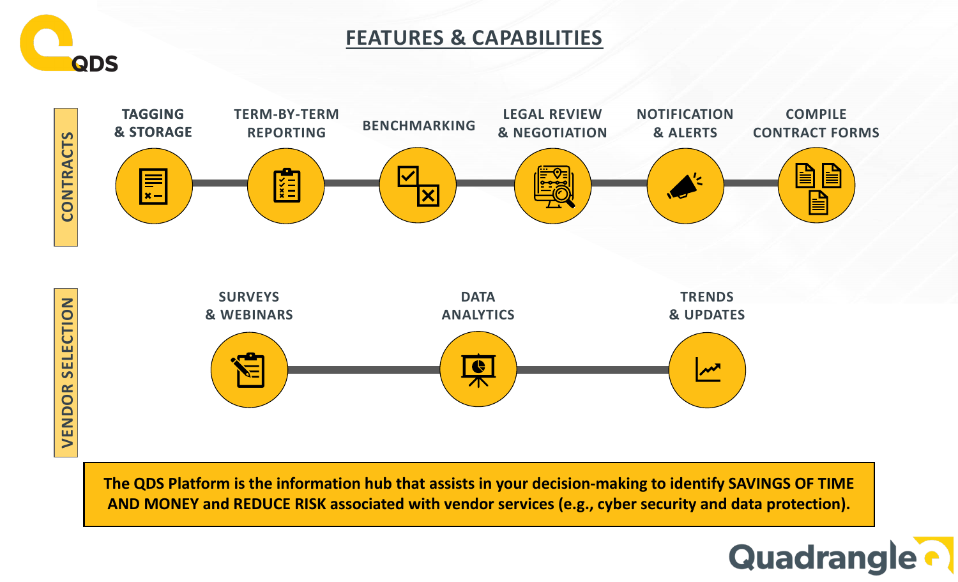

## **FEATURES & CAPABILITIES**



**VENDOR SELECTION** VENDOR

> **The QDS Platform is the information hub that assists in your decision-making to identify SAVINGS OF TIME AND MONEY and REDUCE RISK associated with vendor services (e.g., cyber security and data protection).**